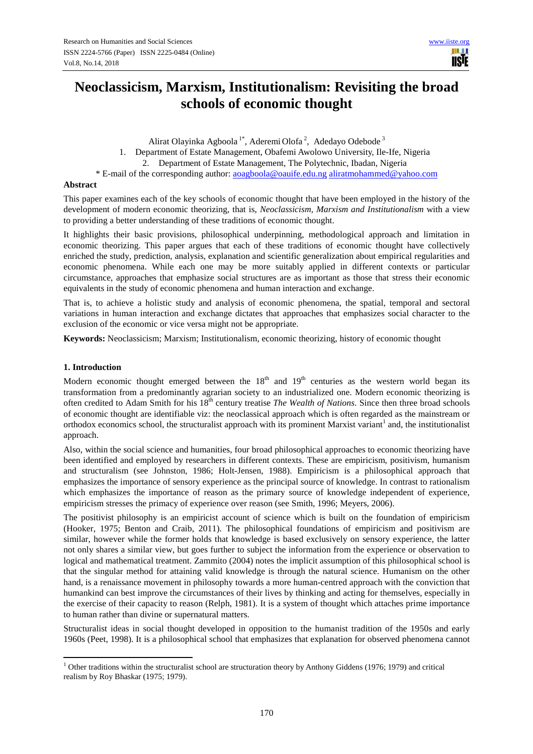ШH **USIE** 

# **Neoclassicism, Marxism, Institutionalism: Revisiting the broad schools of economic thought**

Alirat Olayinka Agboola<sup>1\*</sup>, Aderemi Olofa<sup>2</sup>, Adedayo Odebode<sup>3</sup>

1. Department of Estate Management, Obafemi Awolowo University, Ile-Ife, Nigeria

2. Department of Estate Management, The Polytechnic, Ibadan, Nigeria

\* E-mail of the corresponding author: aoagboola@oauife.edu.ng aliratmohammed@yahoo.com

## **Abstract**

This paper examines each of the key schools of economic thought that have been employed in the history of the development of modern economic theorizing, that is, *Neoclassicism, Marxism and Institutionalism* with a view to providing a better understanding of these traditions of economic thought.

It highlights their basic provisions, philosophical underpinning, methodological approach and limitation in economic theorizing. This paper argues that each of these traditions of economic thought have collectively enriched the study, prediction, analysis, explanation and scientific generalization about empirical regularities and economic phenomena. While each one may be more suitably applied in different contexts or particular circumstance, approaches that emphasize social structures are as important as those that stress their economic equivalents in the study of economic phenomena and human interaction and exchange.

That is, to achieve a holistic study and analysis of economic phenomena, the spatial, temporal and sectoral variations in human interaction and exchange dictates that approaches that emphasizes social character to the exclusion of the economic or vice versa might not be appropriate.

**Keywords:** Neoclassicism; Marxism; Institutionalism, economic theorizing, history of economic thought

#### **1. Introduction**

 $\overline{a}$ 

Modern economic thought emerged between the  $18<sup>th</sup>$  and  $19<sup>th</sup>$  centuries as the western world began its transformation from a predominantly agrarian society to an industrialized one. Modern economic theorizing is often credited to Adam Smith for his 18<sup>th</sup> century treatise *The Wealth of Nations*. Since then three broad schools of economic thought are identifiable viz: the neoclassical approach which is often regarded as the mainstream or orthodox economics school, the structuralist approach with its prominent Marxist variant<sup>1</sup> and, the institutionalist approach.

Also, within the social science and humanities, four broad philosophical approaches to economic theorizing have been identified and employed by researchers in different contexts. These are empiricism, positivism, humanism and structuralism (see Johnston, 1986; Holt-Jensen, 1988). Empiricism is a philosophical approach that emphasizes the importance of sensory experience as the principal source of knowledge. In contrast to rationalism which emphasizes the importance of reason as the primary source of knowledge independent of experience, empiricism stresses the primacy of experience over reason (see Smith, 1996; Meyers, 2006).

The positivist philosophy is an empiricist account of science which is built on the foundation of empiricism (Hooker, 1975; Benton and Craib, 2011). The philosophical foundations of empiricism and positivism are similar, however while the former holds that knowledge is based exclusively on sensory experience, the latter not only shares a similar view, but goes further to subject the information from the experience or observation to logical and mathematical treatment. Zammito (2004) notes the implicit assumption of this philosophical school is that the singular method for attaining valid knowledge is through the natural science. Humanism on the other hand, is a renaissance movement in philosophy towards a more human-centred approach with the conviction that humankind can best improve the circumstances of their lives by thinking and acting for themselves, especially in the exercise of their capacity to reason (Relph, 1981). It is a system of thought which attaches prime importance to human rather than divine or supernatural matters.

Structuralist ideas in social thought developed in opposition to the humanist tradition of the 1950s and early 1960s (Peet, 1998). It is a philosophical school that emphasizes that explanation for observed phenomena cannot

 $1$  Other traditions within the structuralist school are structuration theory by Anthony Giddens (1976; 1979) and critical realism by Roy Bhaskar (1975; 1979).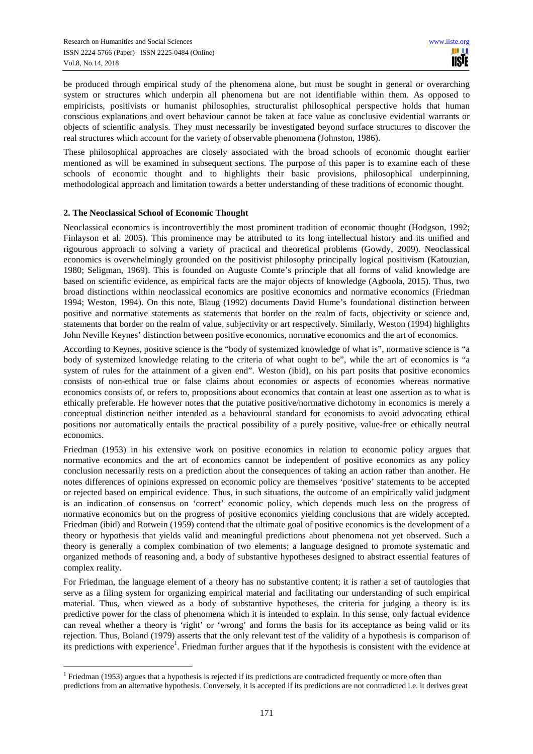be produced through empirical study of the phenomena alone, but must be sought in general or overarching system or structures which underpin all phenomena but are not identifiable within them. As opposed to empiricists, positivists or humanist philosophies, structuralist philosophical perspective holds that human conscious explanations and overt behaviour cannot be taken at face value as conclusive evidential warrants or objects of scientific analysis. They must necessarily be investigated beyond surface structures to discover the real structures which account for the variety of observable phenomena (Johnston, 1986).

These philosophical approaches are closely associated with the broad schools of economic thought earlier mentioned as will be examined in subsequent sections. The purpose of this paper is to examine each of these schools of economic thought and to highlights their basic provisions, philosophical underpinning, methodological approach and limitation towards a better understanding of these traditions of economic thought.

#### **2. The Neoclassical School of Economic Thought**

 $\overline{a}$ 

Neoclassical economics is incontrovertibly the most prominent tradition of economic thought (Hodgson, 1992; Finlayson et al. 2005). This prominence may be attributed to its long intellectual history and its unified and rigourous approach to solving a variety of practical and theoretical problems (Gowdy, 2009). Neoclassical economics is overwhelmingly grounded on the positivist philosophy principally logical positivism (Katouzian, 1980; Seligman, 1969). This is founded on Auguste Comte's principle that all forms of valid knowledge are based on scientific evidence, as empirical facts are the major objects of knowledge (Agboola, 2015). Thus, two broad distinctions within neoclassical economics are positive economics and normative economics (Friedman 1994; Weston, 1994). On this note, Blaug (1992) documents David Hume's foundational distinction between positive and normative statements as statements that border on the realm of facts, objectivity or science and, statements that border on the realm of value, subjectivity or art respectively. Similarly, Weston (1994) highlights John Neville Keynes' distinction between positive economics, normative economics and the art of economics.

According to Keynes, positive science is the "body of systemized knowledge of what is", normative science is "a body of systemized knowledge relating to the criteria of what ought to be", while the art of economics is "a system of rules for the attainment of a given end". Weston (ibid), on his part posits that positive economics consists of non-ethical true or false claims about economies or aspects of economies whereas normative economics consists of, or refers to, propositions about economics that contain at least one assertion as to what is ethically preferable. He however notes that the putative positive/normative dichotomy in economics is merely a conceptual distinction neither intended as a behavioural standard for economists to avoid advocating ethical positions nor automatically entails the practical possibility of a purely positive, value-free or ethically neutral economics.

Friedman (1953) in his extensive work on positive economics in relation to economic policy argues that normative economics and the art of economics cannot be independent of positive economics as any policy conclusion necessarily rests on a prediction about the consequences of taking an action rather than another. He notes differences of opinions expressed on economic policy are themselves 'positive' statements to be accepted or rejected based on empirical evidence. Thus, in such situations, the outcome of an empirically valid judgment is an indication of consensus on 'correct' economic policy, which depends much less on the progress of normative economics but on the progress of positive economics yielding conclusions that are widely accepted. Friedman (ibid) and Rotwein (1959) contend that the ultimate goal of positive economics is the development of a theory or hypothesis that yields valid and meaningful predictions about phenomena not yet observed. Such a theory is generally a complex combination of two elements; a language designed to promote systematic and organized methods of reasoning and, a body of substantive hypotheses designed to abstract essential features of complex reality.

For Friedman, the language element of a theory has no substantive content; it is rather a set of tautologies that serve as a filing system for organizing empirical material and facilitating our understanding of such empirical material. Thus, when viewed as a body of substantive hypotheses, the criteria for judging a theory is its predictive power for the class of phenomena which it is intended to explain. In this sense, only factual evidence can reveal whether a theory is 'right' or 'wrong' and forms the basis for its acceptance as being valid or its rejection. Thus, Boland (1979) asserts that the only relevant test of the validity of a hypothesis is comparison of its predictions with experience<sup>1</sup>. Friedman further argues that if the hypothesis is consistent with the evidence at

<sup>&</sup>lt;sup>1</sup> Friedman (1953) argues that a hypothesis is rejected if its predictions are contradicted frequently or more often than predictions from an alternative hypothesis. Conversely, it is accepted if its predictions are not contradicted i.e. it derives great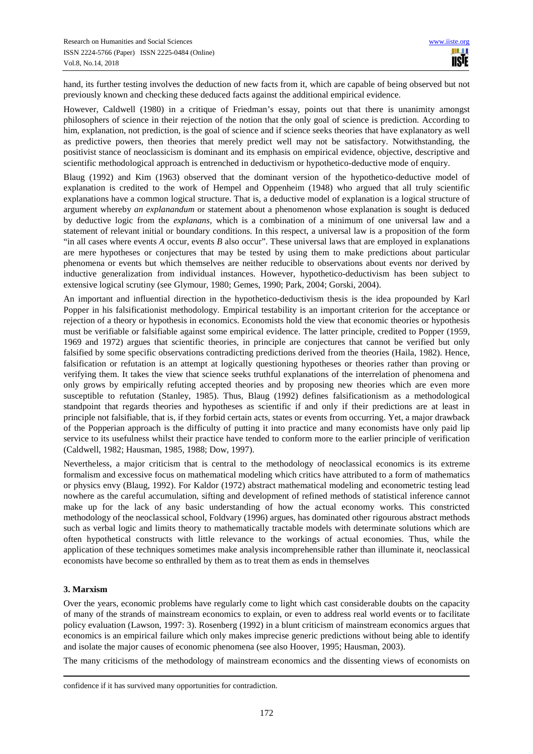hand, its further testing involves the deduction of new facts from it, which are capable of being observed but not previously known and checking these deduced facts against the additional empirical evidence.

However, Caldwell (1980) in a critique of Friedman's essay, points out that there is unanimity amongst philosophers of science in their rejection of the notion that the only goal of science is prediction. According to him, explanation, not prediction, is the goal of science and if science seeks theories that have explanatory as well as predictive powers, then theories that merely predict well may not be satisfactory. Notwithstanding, the positivist stance of neoclassicism is dominant and its emphasis on empirical evidence, objective, descriptive and scientific methodological approach is entrenched in deductivism or hypothetico-deductive mode of enquiry.

Blaug (1992) and Kim (1963) observed that the dominant version of the hypothetico-deductive model of explanation is credited to the work of Hempel and Oppenheim (1948) who argued that all truly scientific explanations have a common logical structure. That is, a deductive model of explanation is a logical structure of argument whereby *an explanandum* or statement about a phenomenon whose explanation is sought is deduced by deductive logic from the *explanans,* which is a combination of a minimum of one universal law and a statement of relevant initial or boundary conditions. In this respect, a universal law is a proposition of the form "in all cases where events *A* occur, events *B* also occur". These universal laws that are employed in explanations are mere hypotheses or conjectures that may be tested by using them to make predictions about particular phenomena or events but which themselves are neither reducible to observations about events nor derived by inductive generalization from individual instances. However, hypothetico-deductivism has been subject to extensive logical scrutiny (see Glymour, 1980; Gemes, 1990; Park, 2004; Gorski, 2004).

An important and influential direction in the hypothetico-deductivism thesis is the idea propounded by Karl Popper in his falsificationist methodology. Empirical testability is an important criterion for the acceptance or rejection of a theory or hypothesis in economics. Economists hold the view that economic theories or hypothesis must be verifiable or falsifiable against some empirical evidence. The latter principle, credited to Popper (1959, 1969 and 1972) argues that scientific theories, in principle are conjectures that cannot be verified but only falsified by some specific observations contradicting predictions derived from the theories (Haila, 1982). Hence, falsification or refutation is an attempt at logically questioning hypotheses or theories rather than proving or verifying them. It takes the view that science seeks truthful explanations of the interrelation of phenomena and only grows by empirically refuting accepted theories and by proposing new theories which are even more susceptible to refutation (Stanley, 1985). Thus, Blaug (1992) defines falsificationism as a methodological standpoint that regards theories and hypotheses as scientific if and only if their predictions are at least in principle not falsifiable, that is, if they forbid certain acts, states or events from occurring. Yet, a major drawback of the Popperian approach is the difficulty of putting it into practice and many economists have only paid lip service to its usefulness whilst their practice have tended to conform more to the earlier principle of verification (Caldwell, 1982; Hausman, 1985, 1988; Dow, 1997).

Nevertheless, a major criticism that is central to the methodology of neoclassical economics is its extreme formalism and excessive focus on mathematical modeling which critics have attributed to a form of mathematics or physics envy (Blaug, 1992). For Kaldor (1972) abstract mathematical modeling and econometric testing lead nowhere as the careful accumulation, sifting and development of refined methods of statistical inference cannot make up for the lack of any basic understanding of how the actual economy works. This constricted methodology of the neoclassical school, Foldvary (1996) argues, has dominated other rigourous abstract methods such as verbal logic and limits theory to mathematically tractable models with determinate solutions which are often hypothetical constructs with little relevance to the workings of actual economies. Thus, while the application of these techniques sometimes make analysis incomprehensible rather than illuminate it, neoclassical economists have become so enthralled by them as to treat them as ends in themselves

## **3. Marxism**

 $\overline{a}$ 

Over the years, economic problems have regularly come to light which cast considerable doubts on the capacity of many of the strands of mainstream economics to explain, or even to address real world events or to facilitate policy evaluation (Lawson, 1997: 3). Rosenberg (1992) in a blunt criticism of mainstream economics argues that economics is an empirical failure which only makes imprecise generic predictions without being able to identify and isolate the major causes of economic phenomena (see also Hoover, 1995; Hausman, 2003).

The many criticisms of the methodology of mainstream economics and the dissenting views of economists on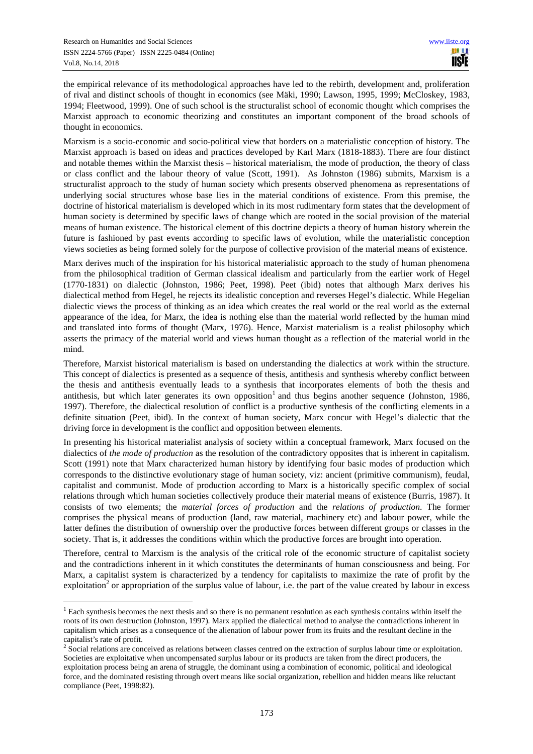$\overline{a}$ 

the empirical relevance of its methodological approaches have led to the rebirth, development and, proliferation of rival and distinct schools of thought in economics (see Mäki, 1990; Lawson, 1995, 1999; McCloskey, 1983, 1994; Fleetwood, 1999). One of such school is the structuralist school of economic thought which comprises the Marxist approach to economic theorizing and constitutes an important component of the broad schools of thought in economics.

Marxism is a socio-economic and socio-political view that borders on a materialistic conception of history. The Marxist approach is based on ideas and practices developed by Karl Marx (1818-1883). There are four distinct and notable themes within the Marxist thesis – historical materialism, the mode of production, the theory of class or class conflict and the labour theory of value (Scott, 1991). As Johnston (1986) submits, Marxism is a structuralist approach to the study of human society which presents observed phenomena as representations of underlying social structures whose base lies in the material conditions of existence. From this premise, the doctrine of historical materialism is developed which in its most rudimentary form states that the development of human society is determined by specific laws of change which are rooted in the social provision of the material means of human existence. The historical element of this doctrine depicts a theory of human history wherein the future is fashioned by past events according to specific laws of evolution, while the materialistic conception views societies as being formed solely for the purpose of collective provision of the material means of existence.

Marx derives much of the inspiration for his historical materialistic approach to the study of human phenomena from the philosophical tradition of German classical idealism and particularly from the earlier work of Hegel (1770-1831) on dialectic (Johnston, 1986; Peet, 1998). Peet (ibid) notes that although Marx derives his dialectical method from Hegel, he rejects its idealistic conception and reverses Hegel's dialectic. While Hegelian dialectic views the process of thinking as an idea which creates the real world or the real world as the external appearance of the idea, for Marx, the idea is nothing else than the material world reflected by the human mind and translated into forms of thought (Marx, 1976). Hence, Marxist materialism is a realist philosophy which asserts the primacy of the material world and views human thought as a reflection of the material world in the mind.

Therefore, Marxist historical materialism is based on understanding the dialectics at work within the structure. This concept of dialectics is presented as a sequence of thesis, antithesis and synthesis whereby conflict between the thesis and antithesis eventually leads to a synthesis that incorporates elements of both the thesis and antithesis, but which later generates its own opposition<sup>1</sup> and thus begins another sequence (Johnston, 1986, 1997). Therefore, the dialectical resolution of conflict is a productive synthesis of the conflicting elements in a definite situation (Peet, ibid). In the context of human society, Marx concur with Hegel's dialectic that the driving force in development is the conflict and opposition between elements.

In presenting his historical materialist analysis of society within a conceptual framework, Marx focused on the dialectics of *the mode of production* as the resolution of the contradictory opposites that is inherent in capitalism. Scott (1991) note that Marx characterized human history by identifying four basic modes of production which corresponds to the distinctive evolutionary stage of human society, viz: ancient (primitive communism), feudal, capitalist and communist. Mode of production according to Marx is a historically specific complex of social relations through which human societies collectively produce their material means of existence (Burris, 1987). It consists of two elements; the *material forces of production* and the *relations of production*. The former comprises the physical means of production (land, raw material, machinery etc) and labour power, while the latter defines the distribution of ownership over the productive forces between different groups or classes in the society. That is, it addresses the conditions within which the productive forces are brought into operation.

Therefore, central to Marxism is the analysis of the critical role of the economic structure of capitalist society and the contradictions inherent in it which constitutes the determinants of human consciousness and being. For Marx, a capitalist system is characterized by a tendency for capitalists to maximize the rate of profit by the exploitation<sup>2</sup> or appropriation of the surplus value of labour, i.e. the part of the value created by labour in excess

<sup>&</sup>lt;sup>1</sup> Each synthesis becomes the next thesis and so there is no permanent resolution as each synthesis contains within itself the roots of its own destruction (Johnston, 1997). Marx applied the dialectical method to analyse the contradictions inherent in capitalism which arises as a consequence of the alienation of labour power from its fruits and the resultant decline in the

capitalist's rate of profit.<br><sup>2</sup> Social relations are conceived as relations between classes centred on the extraction of surplus labour time or exploitation. Societies are exploitative when uncompensated surplus labour or its products are taken from the direct producers, the exploitation process being an arena of struggle, the dominant using a combination of economic, political and ideological force, and the dominated resisting through overt means like social organization, rebellion and hidden means like reluctant compliance (Peet, 1998:82).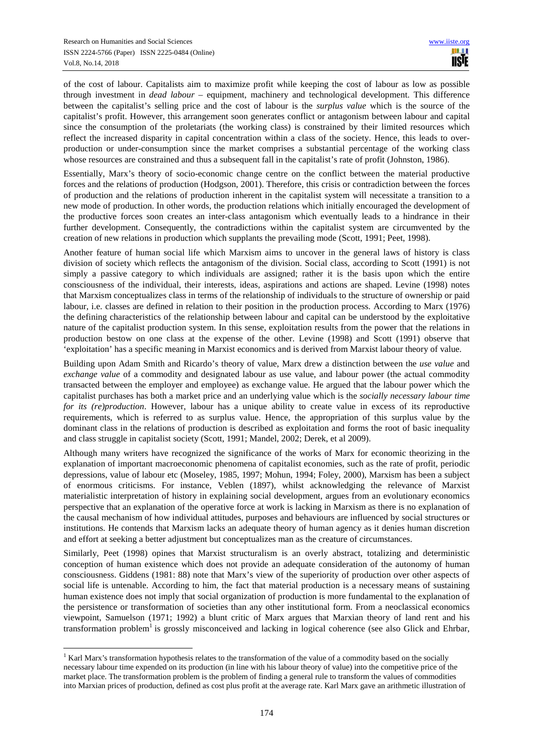of the cost of labour. Capitalists aim to maximize profit while keeping the cost of labour as low as possible through investment in *dead labour* – equipment, machinery and technological development. This difference between the capitalist's selling price and the cost of labour is the *surplus value* which is the source of the capitalist's profit. However, this arrangement soon generates conflict or antagonism between labour and capital since the consumption of the proletariats (the working class) is constrained by their limited resources which reflect the increased disparity in capital concentration within a class of the society. Hence, this leads to overproduction or under-consumption since the market comprises a substantial percentage of the working class whose resources are constrained and thus a subsequent fall in the capitalist's rate of profit (Johnston, 1986).

Essentially, Marx's theory of socio-economic change centre on the conflict between the material productive forces and the relations of production (Hodgson, 2001). Therefore, this crisis or contradiction between the forces of production and the relations of production inherent in the capitalist system will necessitate a transition to a new mode of production. In other words, the production relations which initially encouraged the development of the productive forces soon creates an inter-class antagonism which eventually leads to a hindrance in their further development. Consequently, the contradictions within the capitalist system are circumvented by the creation of new relations in production which supplants the prevailing mode (Scott, 1991; Peet, 1998).

Another feature of human social life which Marxism aims to uncover in the general laws of history is class division of society which reflects the antagonism of the division. Social class, according to Scott (1991) is not simply a passive category to which individuals are assigned; rather it is the basis upon which the entire consciousness of the individual, their interests, ideas, aspirations and actions are shaped. Levine (1998) notes that Marxism conceptualizes class in terms of the relationship of individuals to the structure of ownership or paid labour, i.e. classes are defined in relation to their position in the production process. According to Marx (1976) the defining characteristics of the relationship between labour and capital can be understood by the exploitative nature of the capitalist production system. In this sense, exploitation results from the power that the relations in production bestow on one class at the expense of the other. Levine (1998) and Scott (1991) observe that 'exploitation' has a specific meaning in Marxist economics and is derived from Marxist labour theory of value.

Building upon Adam Smith and Ricardo's theory of value, Marx drew a distinction between the *use value* and *exchange value* of a commodity and designated labour as use value, and labour power (the actual commodity transacted between the employer and employee) as exchange value. He argued that the labour power which the capitalist purchases has both a market price and an underlying value which is the *socially necessary labour time for its (re)production*. However, labour has a unique ability to create value in excess of its reproductive requirements, which is referred to as surplus value. Hence, the appropriation of this surplus value by the dominant class in the relations of production is described as exploitation and forms the root of basic inequality and class struggle in capitalist society (Scott, 1991; Mandel, 2002; Derek, et al 2009).

Although many writers have recognized the significance of the works of Marx for economic theorizing in the explanation of important macroeconomic phenomena of capitalist economies, such as the rate of profit, periodic depressions, value of labour etc (Moseley, 1985, 1997; Mohun, 1994; Foley, 2000), Marxism has been a subject of enormous criticisms. For instance, Veblen (1897), whilst acknowledging the relevance of Marxist materialistic interpretation of history in explaining social development, argues from an evolutionary economics perspective that an explanation of the operative force at work is lacking in Marxism as there is no explanation of the causal mechanism of how individual attitudes, purposes and behaviours are influenced by social structures or institutions. He contends that Marxism lacks an adequate theory of human agency as it denies human discretion and effort at seeking a better adjustment but conceptualizes man as the creature of circumstances.

Similarly, Peet (1998) opines that Marxist structuralism is an overly abstract, totalizing and deterministic conception of human existence which does not provide an adequate consideration of the autonomy of human consciousness. Giddens (1981: 88) note that Marx's view of the superiority of production over other aspects of social life is untenable. According to him, the fact that material production is a necessary means of sustaining human existence does not imply that social organization of production is more fundamental to the explanation of the persistence or transformation of societies than any other institutional form. From a neoclassical economics viewpoint, Samuelson (1971; 1992) a blunt critic of Marx argues that Marxian theory of land rent and his transformation problem<sup>1</sup> is grossly misconceived and lacking in logical coherence (see also Glick and Ehrbar,

 $\overline{a}$ <sup>1</sup> Karl Marx's transformation hypothesis relates to the transformation of the value of a commodity based on the socially necessary labour time expended on its production (in line with his labour theory of value) into the competitive price of the market place. The transformation problem is the problem of finding a general rule to transform the values of commodities into Marxian prices of production, defined as cost plus profit at the average rate. Karl Marx gave an arithmetic illustration of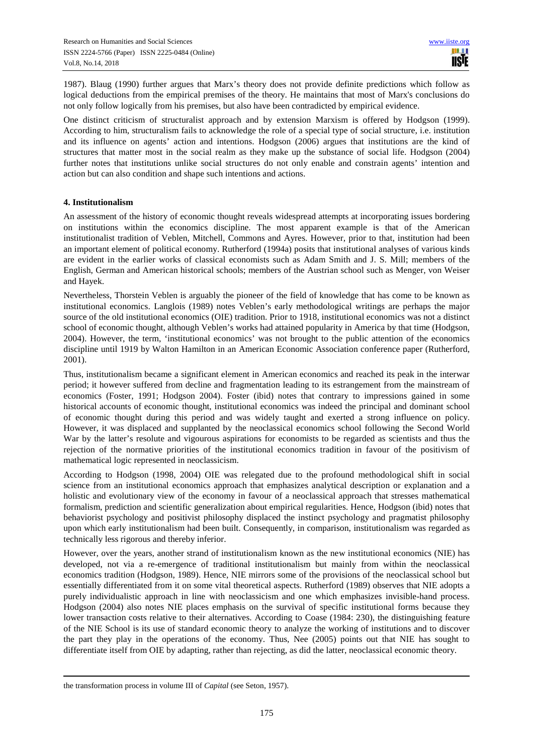1987). Blaug (1990) further argues that Marx's theory does not provide definite predictions which follow as logical deductions from the empirical premises of the theory. He maintains that most of Marx's conclusions do not only follow logically from his premises, but also have been contradicted by empirical evidence.

One distinct criticism of structuralist approach and by extension Marxism is offered by Hodgson (1999). According to him, structuralism fails to acknowledge the role of a special type of social structure, i.e. institution and its influence on agents' action and intentions. Hodgson (2006) argues that institutions are the kind of structures that matter most in the social realm as they make up the substance of social life. Hodgson (2004) further notes that institutions unlike social structures do not only enable and constrain agents' intention and action but can also condition and shape such intentions and actions.

## **4. Institutionalism**

An assessment of the history of economic thought reveals widespread attempts at incorporating issues bordering on institutions within the economics discipline. The most apparent example is that of the American institutionalist tradition of Veblen, Mitchell, Commons and Ayres. However, prior to that, institution had been an important element of political economy. Rutherford (1994a) posits that institutional analyses of various kinds are evident in the earlier works of classical economists such as Adam Smith and J. S. Mill; members of the English, German and American historical schools; members of the Austrian school such as Menger, von Weiser and Hayek.

Nevertheless, Thorstein Veblen is arguably the pioneer of the field of knowledge that has come to be known as institutional economics. Langlois (1989) notes Veblen's early methodological writings are perhaps the major source of the old institutional economics (OIE) tradition. Prior to 1918, institutional economics was not a distinct school of economic thought, although Veblen's works had attained popularity in America by that time (Hodgson, 2004). However, the term, 'institutional economics' was not brought to the public attention of the economics discipline until 1919 by Walton Hamilton in an American Economic Association conference paper (Rutherford, 2001).

Thus, institutionalism became a significant element in American economics and reached its peak in the interwar period; it however suffered from decline and fragmentation leading to its estrangement from the mainstream of economics (Foster, 1991; Hodgson 2004). Foster (ibid) notes that contrary to impressions gained in some historical accounts of economic thought, institutional economics was indeed the principal and dominant school of economic thought during this period and was widely taught and exerted a strong influence on policy. However, it was displaced and supplanted by the neoclassical economics school following the Second World War by the latter's resolute and vigourous aspirations for economists to be regarded as scientists and thus the rejection of the normative priorities of the institutional economics tradition in favour of the positivism of mathematical logic represented in neoclassicism.

According to Hodgson (1998, 2004) OIE was relegated due to the profound methodological shift in social science from an institutional economics approach that emphasizes analytical description or explanation and a holistic and evolutionary view of the economy in favour of a neoclassical approach that stresses mathematical formalism, prediction and scientific generalization about empirical regularities. Hence, Hodgson (ibid) notes that behaviorist psychology and positivist philosophy displaced the instinct psychology and pragmatist philosophy upon which early institutionalism had been built. Consequently, in comparison, institutionalism was regarded as technically less rigorous and thereby inferior.

However, over the years, another strand of institutionalism known as the new institutional economics (NIE) has developed, not via a re-emergence of traditional institutionalism but mainly from within the neoclassical economics tradition (Hodgson, 1989). Hence, NIE mirrors some of the provisions of the neoclassical school but essentially differentiated from it on some vital theoretical aspects. Rutherford (1989) observes that NIE adopts a purely individualistic approach in line with neoclassicism and one which emphasizes invisible-hand process. Hodgson (2004) also notes NIE places emphasis on the survival of specific institutional forms because they lower transaction costs relative to their alternatives. According to Coase (1984: 230), the distinguishing feature of the NIE School is its use of standard economic theory to analyze the working of institutions and to discover the part they play in the operations of the economy. Thus, Nee (2005) points out that NIE has sought to differentiate itself from OIE by adapting, rather than rejecting, as did the latter, neoclassical economic theory.

 $\overline{a}$ 

the transformation process in volume III of *Capital* (see Seton, 1957).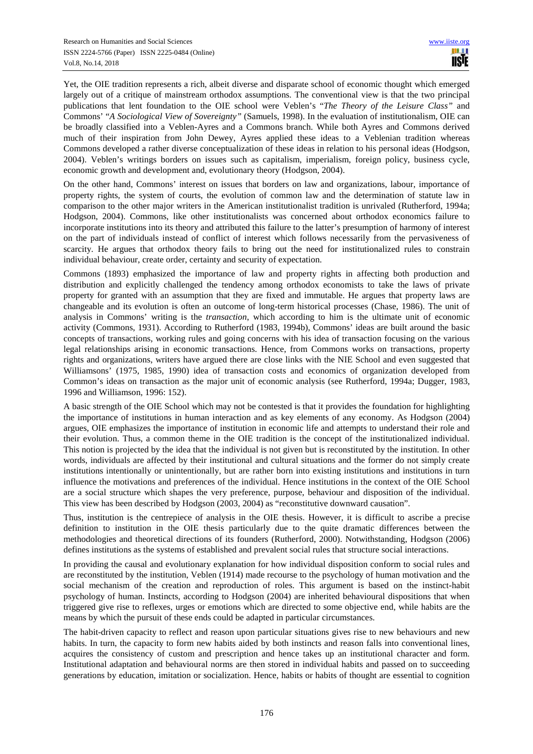Yet, the OIE tradition represents a rich, albeit diverse and disparate school of economic thought which emerged largely out of a critique of mainstream orthodox assumptions. The conventional view is that the two principal publications that lent foundation to the OIE school were Veblen's "*The Theory of the Leisure Class"* and Commons' "*A Sociological View of Sovereignty"* (Samuels, 1998). In the evaluation of institutionalism, OIE can be broadly classified into a Veblen-Ayres and a Commons branch. While both Ayres and Commons derived much of their inspiration from John Dewey, Ayres applied these ideas to a Veblenian tradition whereas Commons developed a rather diverse conceptualization of these ideas in relation to his personal ideas (Hodgson, 2004). Veblen's writings borders on issues such as capitalism, imperialism, foreign policy, business cycle, economic growth and development and, evolutionary theory (Hodgson, 2004).

On the other hand, Commons' interest on issues that borders on law and organizations, labour, importance of property rights, the system of courts, the evolution of common law and the determination of statute law in comparison to the other major writers in the American institutionalist tradition is unrivaled (Rutherford, 1994a; Hodgson, 2004). Commons, like other institutionalists was concerned about orthodox economics failure to incorporate institutions into its theory and attributed this failure to the latter's presumption of harmony of interest on the part of individuals instead of conflict of interest which follows necessarily from the pervasiveness of scarcity. He argues that orthodox theory fails to bring out the need for institutionalized rules to constrain individual behaviour, create order, certainty and security of expectation.

Commons (1893) emphasized the importance of law and property rights in affecting both production and distribution and explicitly challenged the tendency among orthodox economists to take the laws of private property for granted with an assumption that they are fixed and immutable. He argues that property laws are changeable and its evolution is often an outcome of long-term historical processes (Chase, 1986). The unit of analysis in Commons' writing is the *transaction*, which according to him is the ultimate unit of economic activity (Commons, 1931). According to Rutherford (1983, 1994b), Commons' ideas are built around the basic concepts of transactions, working rules and going concerns with his idea of transaction focusing on the various legal relationships arising in economic transactions. Hence, from Commons works on transactions, property rights and organizations, writers have argued there are close links with the NIE School and even suggested that Williamsons' (1975, 1985, 1990) idea of transaction costs and economics of organization developed from Common's ideas on transaction as the major unit of economic analysis (see Rutherford, 1994a; Dugger, 1983, 1996 and Williamson, 1996: 152).

A basic strength of the OIE School which may not be contested is that it provides the foundation for highlighting the importance of institutions in human interaction and as key elements of any economy. As Hodgson (2004) argues, OIE emphasizes the importance of institution in economic life and attempts to understand their role and their evolution. Thus, a common theme in the OIE tradition is the concept of the institutionalized individual. This notion is projected by the idea that the individual is not given but is reconstituted by the institution. In other words, individuals are affected by their institutional and cultural situations and the former do not simply create institutions intentionally or unintentionally, but are rather born into existing institutions and institutions in turn influence the motivations and preferences of the individual. Hence institutions in the context of the OIE School are a social structure which shapes the very preference, purpose, behaviour and disposition of the individual. This view has been described by Hodgson (2003, 2004) as "reconstitutive downward causation".

Thus, institution is the centrepiece of analysis in the OIE thesis. However, it is difficult to ascribe a precise definition to institution in the OIE thesis particularly due to the quite dramatic differences between the methodologies and theoretical directions of its founders (Rutherford, 2000). Notwithstanding, Hodgson (2006) defines institutions as the systems of established and prevalent social rules that structure social interactions.

In providing the causal and evolutionary explanation for how individual disposition conform to social rules and are reconstituted by the institution, Veblen (1914) made recourse to the psychology of human motivation and the social mechanism of the creation and reproduction of roles. This argument is based on the instinct-habit psychology of human. Instincts, according to Hodgson (2004) are inherited behavioural dispositions that when triggered give rise to reflexes, urges or emotions which are directed to some objective end, while habits are the means by which the pursuit of these ends could be adapted in particular circumstances.

The habit-driven capacity to reflect and reason upon particular situations gives rise to new behaviours and new habits. In turn, the capacity to form new habits aided by both instincts and reason falls into conventional lines, acquires the consistency of custom and prescription and hence takes up an institutional character and form. Institutional adaptation and behavioural norms are then stored in individual habits and passed on to succeeding generations by education, imitation or socialization. Hence, habits or habits of thought are essential to cognition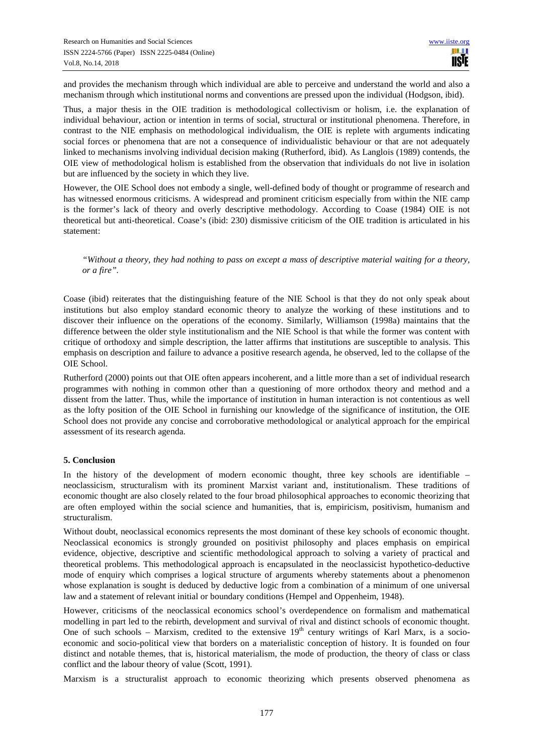and provides the mechanism through which individual are able to perceive and understand the world and also a mechanism through which institutional norms and conventions are pressed upon the individual (Hodgson, ibid).

Thus, a major thesis in the OIE tradition is methodological collectivism or holism, i.e. the explanation of individual behaviour, action or intention in terms of social, structural or institutional phenomena. Therefore, in contrast to the NIE emphasis on methodological individualism, the OIE is replete with arguments indicating social forces or phenomena that are not a consequence of individualistic behaviour or that are not adequately linked to mechanisms involving individual decision making (Rutherford, ibid). As Langlois (1989) contends, the OIE view of methodological holism is established from the observation that individuals do not live in isolation but are influenced by the society in which they live.

However, the OIE School does not embody a single, well-defined body of thought or programme of research and has witnessed enormous criticisms. A widespread and prominent criticism especially from within the NIE camp is the former's lack of theory and overly descriptive methodology. According to Coase (1984) OIE is not theoretical but anti-theoretical. Coase's (ibid: 230) dismissive criticism of the OIE tradition is articulated in his statement:

*"Without a theory, they had nothing to pass on except a mass of descriptive material waiting for a theory, or a fire".* 

Coase (ibid) reiterates that the distinguishing feature of the NIE School is that they do not only speak about institutions but also employ standard economic theory to analyze the working of these institutions and to discover their influence on the operations of the economy. Similarly, Williamson (1998a) maintains that the difference between the older style institutionalism and the NIE School is that while the former was content with critique of orthodoxy and simple description, the latter affirms that institutions are susceptible to analysis. This emphasis on description and failure to advance a positive research agenda, he observed, led to the collapse of the OIE School.

Rutherford (2000) points out that OIE often appears incoherent, and a little more than a set of individual research programmes with nothing in common other than a questioning of more orthodox theory and method and a dissent from the latter. Thus, while the importance of institution in human interaction is not contentious as well as the lofty position of the OIE School in furnishing our knowledge of the significance of institution, the OIE School does not provide any concise and corroborative methodological or analytical approach for the empirical assessment of its research agenda.

## **5. Conclusion**

In the history of the development of modern economic thought, three key schools are identifiable – neoclassicism, structuralism with its prominent Marxist variant and, institutionalism. These traditions of economic thought are also closely related to the four broad philosophical approaches to economic theorizing that are often employed within the social science and humanities, that is, empiricism, positivism, humanism and structuralism.

Without doubt, neoclassical economics represents the most dominant of these key schools of economic thought. Neoclassical economics is strongly grounded on positivist philosophy and places emphasis on empirical evidence, objective, descriptive and scientific methodological approach to solving a variety of practical and theoretical problems. This methodological approach is encapsulated in the neoclassicist hypothetico-deductive mode of enquiry which comprises a logical structure of arguments whereby statements about a phenomenon whose explanation is sought is deduced by deductive logic from a combination of a minimum of one universal law and a statement of relevant initial or boundary conditions (Hempel and Oppenheim, 1948).

However, criticisms of the neoclassical economics school's overdependence on formalism and mathematical modelling in part led to the rebirth, development and survival of rival and distinct schools of economic thought. One of such schools – Marxism, credited to the extensive  $19<sup>th</sup>$  century writings of Karl Marx, is a socioeconomic and socio-political view that borders on a materialistic conception of history. It is founded on four distinct and notable themes, that is, historical materialism, the mode of production, the theory of class or class conflict and the labour theory of value (Scott, 1991).

Marxism is a structuralist approach to economic theorizing which presents observed phenomena as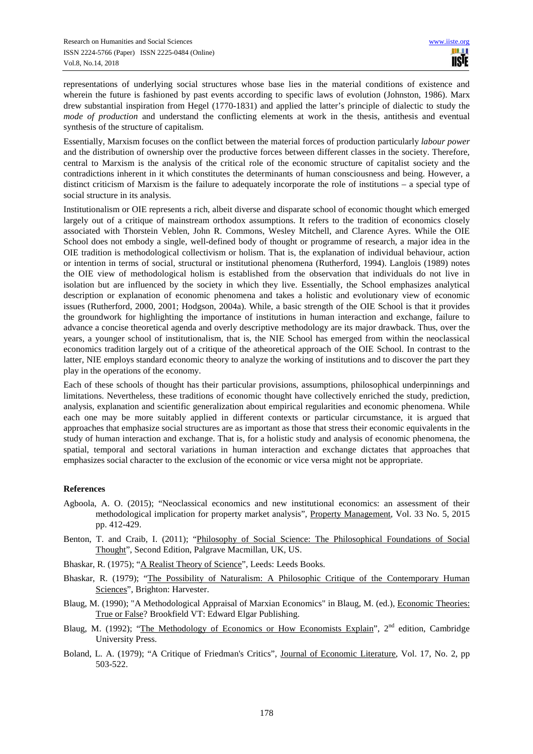representations of underlying social structures whose base lies in the material conditions of existence and wherein the future is fashioned by past events according to specific laws of evolution (Johnston, 1986). Marx drew substantial inspiration from Hegel (1770-1831) and applied the latter's principle of dialectic to study the *mode of production* and understand the conflicting elements at work in the thesis, antithesis and eventual synthesis of the structure of capitalism.

Essentially, Marxism focuses on the conflict between the material forces of production particularly *labour power* and the distribution of ownership over the productive forces between different classes in the society. Therefore, central to Marxism is the analysis of the critical role of the economic structure of capitalist society and the contradictions inherent in it which constitutes the determinants of human consciousness and being. However, a distinct criticism of Marxism is the failure to adequately incorporate the role of institutions – a special type of social structure in its analysis.

Institutionalism or OIE represents a rich, albeit diverse and disparate school of economic thought which emerged largely out of a critique of mainstream orthodox assumptions. It refers to the tradition of economics closely associated with Thorstein Veblen, John R. Commons, Wesley Mitchell, and Clarence Ayres. While the OIE School does not embody a single, well-defined body of thought or programme of research, a major idea in the OIE tradition is methodological collectivism or holism. That is, the explanation of individual behaviour, action or intention in terms of social, structural or institutional phenomena (Rutherford, 1994). Langlois (1989) notes the OIE view of methodological holism is established from the observation that individuals do not live in isolation but are influenced by the society in which they live. Essentially, the School emphasizes analytical description or explanation of economic phenomena and takes a holistic and evolutionary view of economic issues (Rutherford, 2000, 2001; Hodgson, 2004a). While, a basic strength of the OIE School is that it provides the groundwork for highlighting the importance of institutions in human interaction and exchange, failure to advance a concise theoretical agenda and overly descriptive methodology are its major drawback. Thus, over the years, a younger school of institutionalism, that is, the NIE School has emerged from within the neoclassical economics tradition largely out of a critique of the atheoretical approach of the OIE School. In contrast to the latter, NIE employs standard economic theory to analyze the working of institutions and to discover the part they play in the operations of the economy.

Each of these schools of thought has their particular provisions, assumptions, philosophical underpinnings and limitations. Nevertheless, these traditions of economic thought have collectively enriched the study, prediction, analysis, explanation and scientific generalization about empirical regularities and economic phenomena. While each one may be more suitably applied in different contexts or particular circumstance, it is argued that approaches that emphasize social structures are as important as those that stress their economic equivalents in the study of human interaction and exchange. That is, for a holistic study and analysis of economic phenomena, the spatial, temporal and sectoral variations in human interaction and exchange dictates that approaches that emphasizes social character to the exclusion of the economic or vice versa might not be appropriate.

## **References**

- Agboola, A. O. (2015); "Neoclassical economics and new institutional economics: an assessment of their methodological implication for property market analysis", Property Management, Vol. 33 No. 5, 2015 pp. 412-429.
- Benton, T. and Craib, I. (2011); "Philosophy of Social Science: The Philosophical Foundations of Social Thought", Second Edition, Palgrave Macmillan, UK, US.
- Bhaskar, R. (1975); "A Realist Theory of Science", Leeds: Leeds Books.
- Bhaskar, R. (1979); "The Possibility of Naturalism: A Philosophic Critique of the Contemporary Human Sciences", Brighton: Harvester.
- Blaug, M. (1990); "A Methodological Appraisal of Marxian Economics" in Blaug, M. (ed.), Economic Theories: True or False? Brookfield VT: Edward Elgar Publishing.
- Blaug, M. (1992); "The Methodology of Economics or How Economists Explain", 2<sup>nd</sup> edition, Cambridge University Press.
- Boland, L. A. (1979); "A Critique of Friedman's Critics", Journal of Economic Literature, Vol. 17, No. 2, pp 503-522.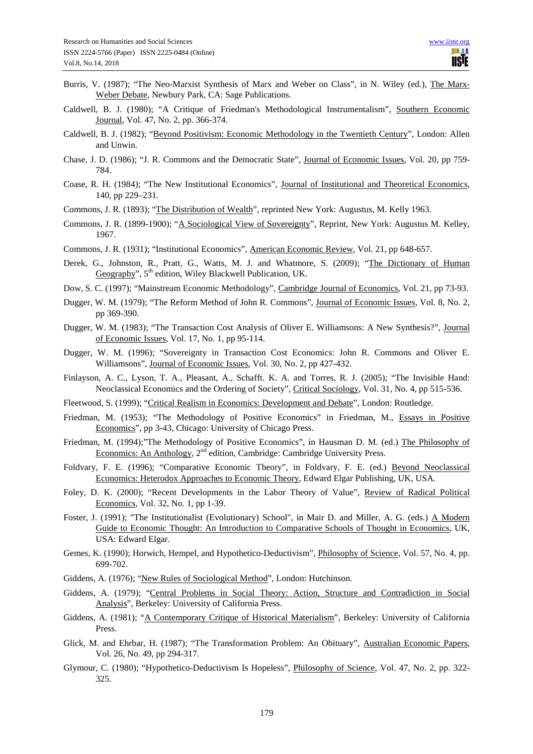- Burris, V. (1987); "The Neo-Marxist Synthesis of Marx and Weber on Class", in N. Wiley (ed.), The Marx-Weber Debate, Newbury Park, CA: Sage Publications.
- Caldwell, B. J. (1980); "A Critique of Friedman's Methodological Instrumentalism", Southern Economic Journal, Vol. 47, No. 2, pp. 366-374.
- Caldwell, B. J. (1982); "Beyond Positivism: Economic Methodology in the Twentieth Century", London: Allen and Unwin.
- Chase, J. D. (1986); "J. R. Commons and the Democratic State", Journal of Economic Issues, Vol. 20, pp 759- 784.
- Coase, R. H. (1984); "The New Institutional Economics", Journal of Institutional and Theoretical Economics, 140, pp 229–231.
- Commons, J. R. (1893); "The Distribution of Wealth", reprinted New York: Augustus, M. Kelly 1963.
- Commons, J. R. (1899-1900); "A Sociological View of Sovereignty", Reprint, New York: Augustus M. Kelley, 1967.
- Commons, J. R. (1931); "Institutional Economics", American Economic Review, Vol. 21, pp 648-657.
- Derek, G., Johnston, R., Pratt, G., Watts, M. J. and Whatmore, S. (2009); "The Dictionary of Human Geography",  $5<sup>th</sup>$  edition, Wiley Blackwell Publication, UK.
- Dow, S. C. (1997); "Mainstream Economic Methodology", Cambridge Journal of Economics, Vol. 21, pp 73-93.
- Dugger, W. M. (1979); "The Reform Method of John R. Commons", Journal of Economic Issues, Vol. 8, No. 2, pp 369-390.
- Dugger, W. M. (1983); "The Transaction Cost Analysis of Oliver E. Williamsons: A New Synthesis?", Journal of Economic Issues, Vol. 17, No. 1, pp 95-114.
- Dugger, W. M. (1996); "Sovereignty in Transaction Cost Economics: John R. Commons and Oliver E. Williamsons", Journal of Economic Issues, Vol. 30, No. 2, pp 427-432.
- Finlayson, A. C., Lyson, T. A., Pleasant, A., Schafft. K. A. and Torres, R. J. (2005); "The Invisible Hand: Neoclassical Economics and the Ordering of Society", Critical Sociology, Vol. 31, No. 4, pp 515-536.
- Fleetwood, S. (1999); "Critical Realism in Economics: Development and Debate", London: Routledge.
- Friedman, M. (1953); "The Methodology of Positive Economics" in Friedman, M., Essays in Positive Economics", pp 3-43, Chicago: University of Chicago Press.
- Friedman, M. (1994);"The Methodology of Positive Economics", in Hausman D. M. (ed.) The Philosophy of Economics: An Anthology, 2<sup>nd</sup> edition, Cambridge: Cambridge University Press.
- Foldvary, F. E. (1996); "Comparative Economic Theory", in Foldvary, F. E. (ed.) Beyond Neoclassical Economics: Heterodox Approaches to Economic Theory, Edward Elgar Publishing, UK, USA.
- Foley, D. K. (2000); "Recent Developments in the Labor Theory of Value", Review of Radical Political Economics, Vol. 32, No. 1, pp 1-39.
- Foster, J. (1991); "The Institutionalist (Evolutionary) School", in Mair D. and Miller, A. G. (eds.) A Modern Guide to Economic Thought: An Introduction to Comparative Schools of Thought in Economics, UK, USA: Edward Elgar.
- Gemes, K. (1990); Horwich, Hempel, and Hypothetico-Deductivism", Philosophy of Science, Vol. 57, No. 4, pp. 699-702.
- Giddens, A. (1976); "New Rules of Sociological Method", London: Hutchinson.
- Giddens, A. (1979); "Central Problems in Social Theory: Action, Structure and Contradiction in Social Analysis", Berkeley: University of California Press.
- Giddens, A. (1981); "A Contemporary Critique of Historical Materialism", Berkeley: University of California Press.
- Glick, M. and Ehrbar, H. (1987); "The Transformation Problem: An Obituary", Australian Economic Papers, Vol. 26, No. 49, pp 294-317.
- Glymour, C. (1980); "Hypothetico-Deductivism Is Hopeless", Philosophy of Science, Vol. 47, No. 2, pp. 322- 325.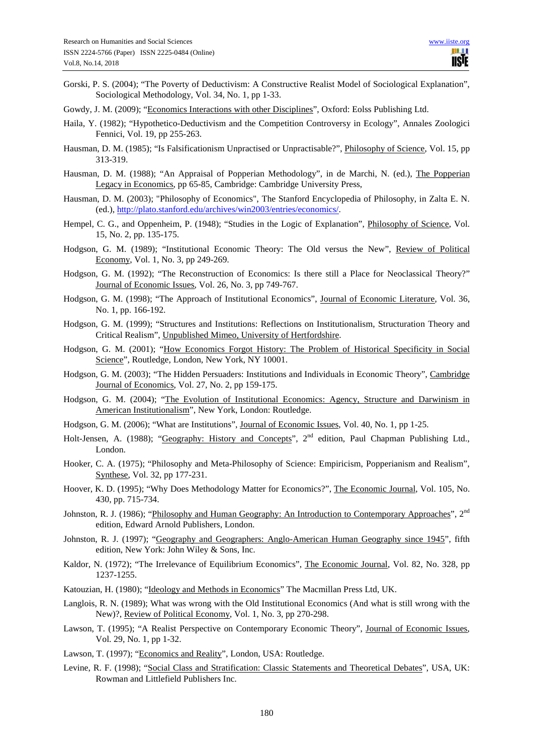- Gorski, P. S. (2004); "The Poverty of Deductivism: A Constructive Realist Model of Sociological Explanation", Sociological Methodology, Vol. 34, No. 1, pp 1-33.
- Gowdy, J. M. (2009); "Economics Interactions with other Disciplines", Oxford: Eolss Publishing Ltd.
- Haila, Y. (1982); "Hypothetico-Deductivism and the Competition Controversy in Ecology", Annales Zoologici Fennici, Vol. 19, pp 255-263.
- Hausman, D. M. (1985); "Is Falsificationism Unpractised or Unpractisable?", Philosophy of Science, Vol. 15, pp 313-319.
- Hausman, D. M. (1988); "An Appraisal of Popperian Methodology", in de Marchi, N. (ed.), The Popperian Legacy in Economics, pp 65-85, Cambridge: Cambridge University Press,
- Hausman, D. M. (2003); "Philosophy of Economics", The Stanford Encyclopedia of Philosophy, in Zalta E. N. (ed.), http://plato.stanford.edu/archives/win2003/entries/economics/.
- Hempel, C. G., and Oppenheim, P. (1948); "Studies in the Logic of Explanation", Philosophy of Science, Vol. 15, No. 2, pp. 135-175.
- Hodgson, G. M. (1989); "Institutional Economic Theory: The Old versus the New", Review of Political Economy, Vol. 1, No. 3, pp 249-269.
- Hodgson, G. M. (1992); "The Reconstruction of Economics: Is there still a Place for Neoclassical Theory?" Journal of Economic Issues, Vol. 26, No. 3, pp 749-767.
- Hodgson, G. M. (1998); "The Approach of Institutional Economics", Journal of Economic Literature, Vol. 36, No. 1, pp. 166-192.
- Hodgson, G. M. (1999); "Structures and Institutions: Reflections on Institutionalism, Structuration Theory and Critical Realism", Unpublished Mimeo, University of Hertfordshire.
- Hodgson, G. M. (2001); "How Economics Forgot History: The Problem of Historical Specificity in Social Science", Routledge, London, New York, NY 10001.
- Hodgson, G. M. (2003); "The Hidden Persuaders: Institutions and Individuals in Economic Theory", Cambridge Journal of Economics, Vol. 27, No. 2, pp 159-175.
- Hodgson, G. M. (2004); "The Evolution of Institutional Economics: Agency, Structure and Darwinism in American Institutionalism", New York, London: Routledge.
- Hodgson, G. M. (2006); "What are Institutions", Journal of Economic Issues, Vol. 40, No. 1, pp 1-25.
- Holt-Jensen, A. (1988); "Geography: History and Concepts", 2<sup>nd</sup> edition, Paul Chapman Publishing Ltd., London.
- Hooker, C. A. (1975); "Philosophy and Meta-Philosophy of Science: Empiricism, Popperianism and Realism", Synthese, Vol. 32, pp 177-231.
- Hoover, K. D. (1995); "Why Does Methodology Matter for Economics?", The Economic Journal, Vol. 105, No. 430, pp. 715-734.
- Johnston, R. J. (1986); "Philosophy and Human Geography: An Introduction to Contemporary Approaches", 2<sup>nd</sup> edition, Edward Arnold Publishers, London.
- Johnston, R. J. (1997); "Geography and Geographers: Anglo-American Human Geography since 1945", fifth edition, New York: John Wiley & Sons, Inc.
- Kaldor, N. (1972); "The Irrelevance of Equilibrium Economics", The Economic Journal, Vol. 82, No. 328, pp 1237-1255.
- Katouzian, H. (1980); "Ideology and Methods in Economics" The Macmillan Press Ltd, UK.
- Langlois, R. N. (1989); What was wrong with the Old Institutional Economics (And what is still wrong with the New)?, Review of Political Economy, Vol. 1, No. 3, pp 270-298.
- Lawson, T. (1995); "A Realist Perspective on Contemporary Economic Theory", Journal of Economic Issues, Vol. 29, No. 1, pp 1-32.
- Lawson, T. (1997); "Economics and Reality", London, USA: Routledge.
- Levine, R. F. (1998); "Social Class and Stratification: Classic Statements and Theoretical Debates", USA, UK: Rowman and Littlefield Publishers Inc.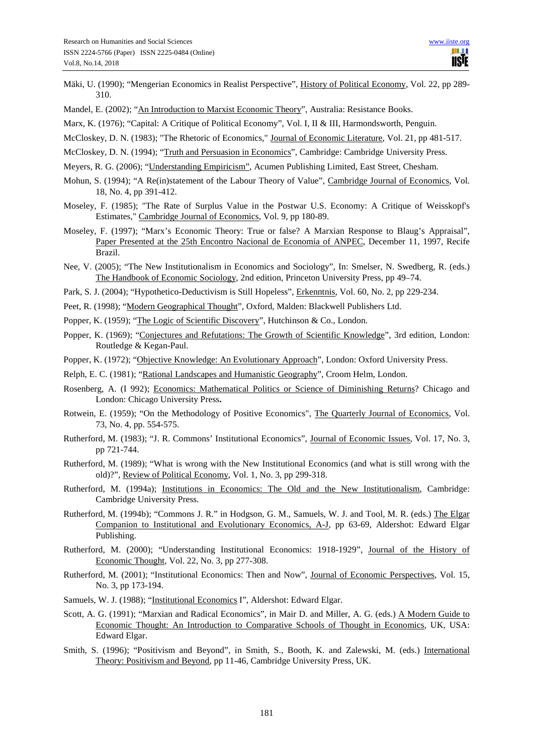- Mäki, U. (1990); "Mengerian Economics in Realist Perspective", History of Political Economy, Vol. 22, pp 289- 310.
- Mandel, E. (2002); "An Introduction to Marxist Economic Theory", Australia: Resistance Books.
- Marx, K. (1976); "Capital: A Critique of Political Economy", Vol. I, II & III, Harmondsworth, Penguin.
- McCloskey, D. N. (1983); "The Rhetoric of Economics," Journal of Economic Literature, Vol. 21, pp 481-517.
- McCloskey, D. N. (1994); "Truth and Persuasion in Economics", Cambridge: Cambridge University Press.
- Meyers, R. G. (2006); "Understanding Empiricism", Acumen Publishing Limited, East Street, Chesham.
- Mohun, S. (1994); "A Re(in)statement of the Labour Theory of Value", Cambridge Journal of Economics, Vol. 18, No. 4, pp 391-412.
- Moseley, F. (1985); "The Rate of Surplus Value in the Postwar U.S. Economy: A Critique of Weisskopf's Estimates," Cambridge Journal of Economics, Vol. 9, pp 180-89.
- Moseley, F. (1997); "Marx's Economic Theory: True or false? A Marxian Response to Blaug's Appraisal", Paper Presented at the 25th Encontro Nacional de Economia of ANPEC, December 11, 1997, Recife Brazil.
- Nee, V. (2005); "The New Institutionalism in Economics and Sociology", In: Smelser, N. Swedberg, R. (eds.) The Handbook of Economic Sociology, 2nd edition, Princeton University Press, pp 49–74.
- Park, S. J. (2004); "Hypothetico-Deductivism is Still Hopeless", Erkenntnis, Vol. 60, No. 2, pp 229-234.
- Peet, R. (1998); "Modern Geographical Thought", Oxford, Malden: Blackwell Publishers Ltd.
- Popper, K. (1959); "The Logic of Scientific Discovery", Hutchinson & Co., London.
- Popper, K. (1969); "Conjectures and Refutations: The Growth of Scientific Knowledge", 3rd edition, London: Routledge & Kegan-Paul.
- Popper, K. (1972); "Objective Knowledge: An Evolutionary Approach", London: Oxford University Press.
- Relph, E. C. (1981); "Rational Landscapes and Humanistic Geography", Croom Helm, London.
- Rosenberg, A. (I 992); Economics: Mathematical Politics or Science of Diminishing Returns? Chicago and London: Chicago University Press**.**
- Rotwein, E. (1959); "On the Methodology of Positive Economics", The Quarterly Journal of Economics, Vol. 73, No. 4, pp. 554-575.
- Rutherford, M. (1983); "J. R. Commons' Institutional Economics", Journal of Economic Issues, Vol. 17, No. 3, pp 721-744.
- Rutherford, M. (1989); "What is wrong with the New Institutional Economics (and what is still wrong with the old)?", Review of Political Economy, Vol. 1, No. 3, pp 299-318.
- Rutherford, M. (1994a); Institutions in Economics: The Old and the New Institutionalism, Cambridge: Cambridge University Press.
- Rutherford, M. (1994b); "Commons J. R." in Hodgson, G. M., Samuels, W. J. and Tool, M. R. (eds.) The Elgar Companion to Institutional and Evolutionary Economics, A-J, pp 63-69, Aldershot: Edward Elgar Publishing.
- Rutherford, M. (2000); "Understanding Institutional Economics: 1918-1929", Journal of the History of Economic Thought, Vol. 22, No. 3, pp 277-308.
- Rutherford, M. (2001); "Institutional Economics: Then and Now", Journal of Economic Perspectives, Vol. 15, No. 3, pp 173-194.
- Samuels, W. J. (1988); "Institutional Economics I", Aldershot: Edward Elgar.
- Scott, A. G. (1991); "Marxian and Radical Economics", in Mair D. and Miller, A. G. (eds.) A Modern Guide to Economic Thought: An Introduction to Comparative Schools of Thought in Economics, UK, USA: Edward Elgar.
- Smith, S. (1996); "Positivism and Beyond", in Smith, S., Booth, K. and Zalewski, M. (eds.) International Theory: Positivism and Beyond, pp 11-46, Cambridge University Press, UK.